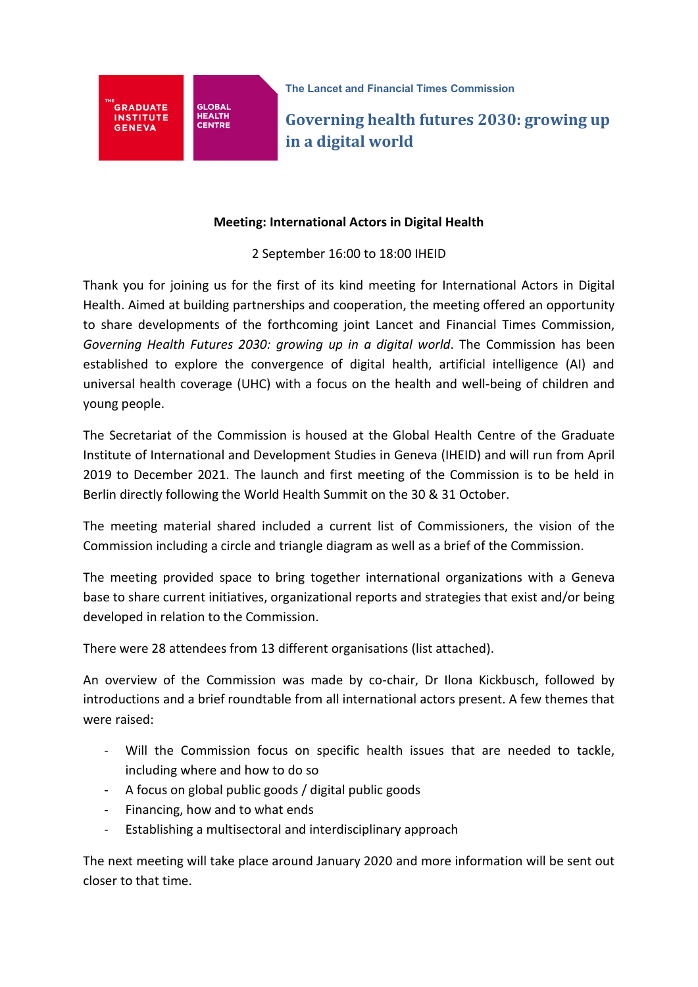

**Governing health futures 2030: growing up in a digital world** 

## **Meeting: International Actors in Digital Health**

## 2 September 16:00 to 18:00 IHEID

Thank you for joining us for the first of its kind meeting for International Actors in Digital Health. Aimed at building partnerships and cooperation, the meeting offered an opportunity to share developments of the forthcoming joint Lancet and Financial Times Commission, *Governing Health Futures 2030: growing up in a digital world*. The Commission has been established to explore the convergence of digital health, artificial intelligence (AI) and universal health coverage (UHC) with a focus on the health and well-being of children and young people.

The Secretariat of the Commission is housed at the Global Health Centre of the Graduate Institute of International and Development Studies in Geneva (IHEID) and will run from April 2019 to December 2021. The launch and first meeting of the Commission is to be held in Berlin directly following the World Health Summit on the 30 & 31 October.

The meeting material shared included a current list of Commissioners, the vision of the Commission including a circle and triangle diagram as well as a brief of the Commission.

The meeting provided space to bring together international organizations with a Geneva base to share current initiatives, organizational reports and strategies that exist and/or being developed in relation to the Commission.

There were 28 attendees from 13 different organisations (list attached).

An overview of the Commission was made by co-chair, Dr Ilona Kickbusch, followed by introductions and a brief roundtable from all international actors present. A few themes that were raised:

- Will the Commission focus on specific health issues that are needed to tackle, including where and how to do so
- A focus on global public goods / digital public goods
- Financing, how and to what ends
- Establishing a multisectoral and interdisciplinary approach

The next meeting will take place around January 2020 and more information will be sent out closer to that time.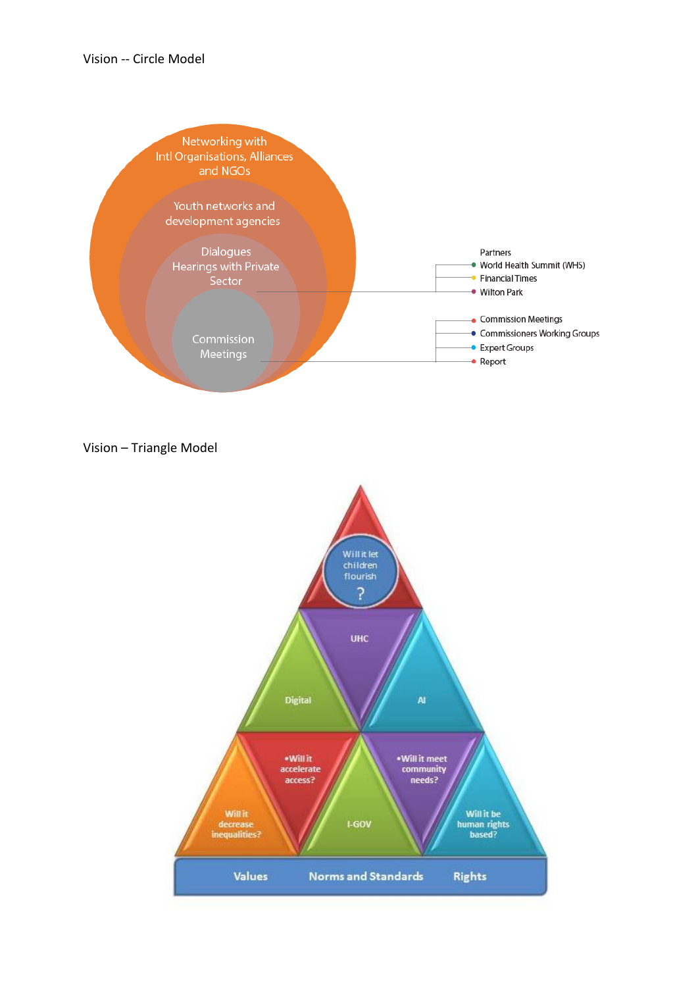

Vision – Triangle Model

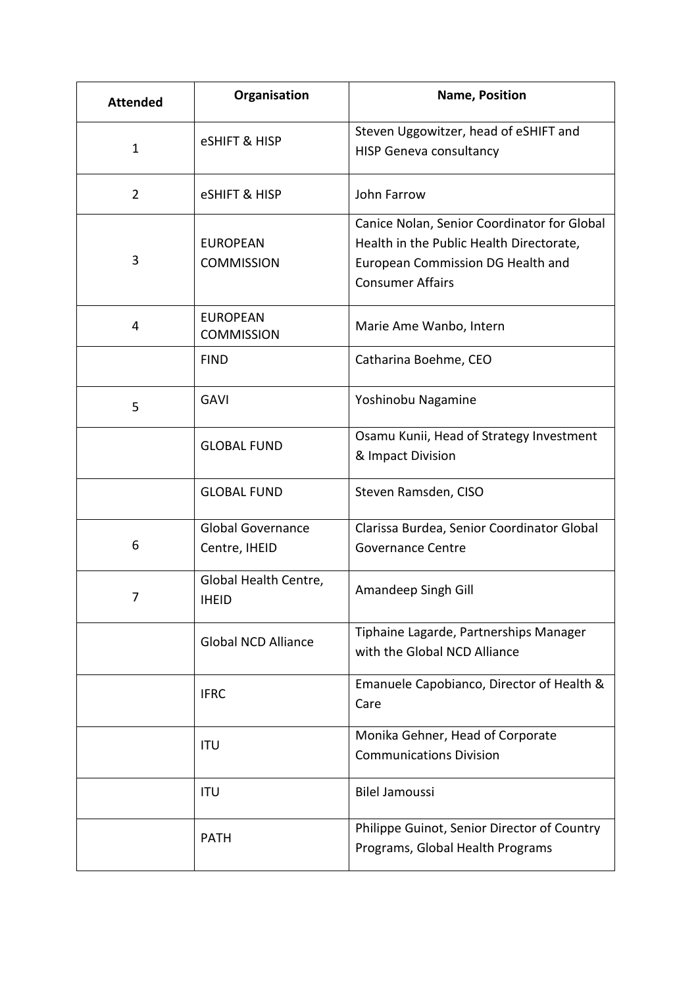| <b>Attended</b> | Organisation                              | <b>Name, Position</b>                                                                                                                                   |
|-----------------|-------------------------------------------|---------------------------------------------------------------------------------------------------------------------------------------------------------|
| $\mathbf{1}$    | <b>eSHIFT &amp; HISP</b>                  | Steven Uggowitzer, head of eSHIFT and<br><b>HISP Geneva consultancy</b>                                                                                 |
| $\overline{2}$  | <b>eSHIFT &amp; HISP</b>                  | John Farrow                                                                                                                                             |
| 3               | <b>EUROPEAN</b><br><b>COMMISSION</b>      | Canice Nolan, Senior Coordinator for Global<br>Health in the Public Health Directorate,<br>European Commission DG Health and<br><b>Consumer Affairs</b> |
| 4               | <b>EUROPEAN</b><br><b>COMMISSION</b>      | Marie Ame Wanbo, Intern                                                                                                                                 |
|                 | <b>FIND</b>                               | Catharina Boehme, CEO                                                                                                                                   |
| 5               | <b>GAVI</b>                               | Yoshinobu Nagamine                                                                                                                                      |
|                 | <b>GLOBAL FUND</b>                        | Osamu Kunii, Head of Strategy Investment<br>& Impact Division                                                                                           |
|                 | <b>GLOBAL FUND</b>                        | Steven Ramsden, CISO                                                                                                                                    |
| 6               | <b>Global Governance</b><br>Centre, IHEID | Clarissa Burdea, Senior Coordinator Global<br>Governance Centre                                                                                         |
| 7               | Global Health Centre,<br><b>IHEID</b>     | Amandeep Singh Gill                                                                                                                                     |
|                 | <b>Global NCD Alliance</b>                | Tiphaine Lagarde, Partnerships Manager<br>with the Global NCD Alliance                                                                                  |
|                 | <b>IFRC</b>                               | Emanuele Capobianco, Director of Health &<br>Care                                                                                                       |
|                 | <b>ITU</b>                                | Monika Gehner, Head of Corporate<br><b>Communications Division</b>                                                                                      |
|                 | <b>ITU</b>                                | <b>Bilel Jamoussi</b>                                                                                                                                   |
|                 | <b>PATH</b>                               | Philippe Guinot, Senior Director of Country<br>Programs, Global Health Programs                                                                         |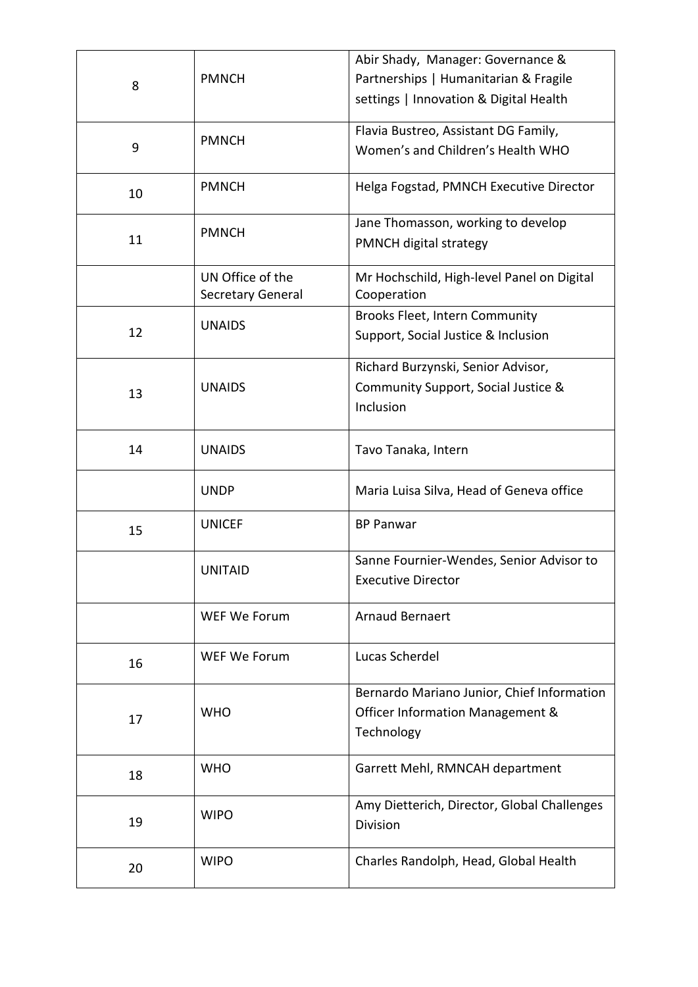| 8  | <b>PMNCH</b>                          | Abir Shady, Manager: Governance &<br>Partnerships   Humanitarian & Fragile     |
|----|---------------------------------------|--------------------------------------------------------------------------------|
|    |                                       | settings   Innovation & Digital Health                                         |
| 9  | <b>PMNCH</b>                          | Flavia Bustreo, Assistant DG Family,<br>Women's and Children's Health WHO      |
|    |                                       |                                                                                |
| 10 | <b>PMNCH</b>                          | Helga Fogstad, PMNCH Executive Director                                        |
| 11 | <b>PMNCH</b>                          | Jane Thomasson, working to develop<br>PMNCH digital strategy                   |
|    | UN Office of the<br>Secretary General | Mr Hochschild, High-level Panel on Digital<br>Cooperation                      |
| 12 | <b>UNAIDS</b>                         | Brooks Fleet, Intern Community                                                 |
|    |                                       | Support, Social Justice & Inclusion                                            |
|    |                                       | Richard Burzynski, Senior Advisor,                                             |
| 13 | <b>UNAIDS</b>                         | Community Support, Social Justice &<br>Inclusion                               |
|    |                                       |                                                                                |
| 14 | <b>UNAIDS</b>                         | Tavo Tanaka, Intern                                                            |
|    | <b>UNDP</b>                           | Maria Luisa Silva, Head of Geneva office                                       |
| 15 | <b>UNICEF</b>                         | <b>BP Panwar</b>                                                               |
|    | <b>UNITAID</b>                        | Sanne Fournier-Wendes, Senior Advisor to<br><b>Executive Director</b>          |
|    | WEF We Forum                          | <b>Arnaud Bernaert</b>                                                         |
| 16 | WEF We Forum                          | Lucas Scherdel                                                                 |
| 17 | <b>WHO</b>                            | Bernardo Mariano Junior, Chief Information<br>Officer Information Management & |
|    |                                       | Technology                                                                     |
| 18 | <b>WHO</b>                            | Garrett Mehl, RMNCAH department                                                |
| 19 | <b>WIPO</b>                           | Amy Dietterich, Director, Global Challenges<br>Division                        |
| 20 | <b>WIPO</b>                           | Charles Randolph, Head, Global Health                                          |